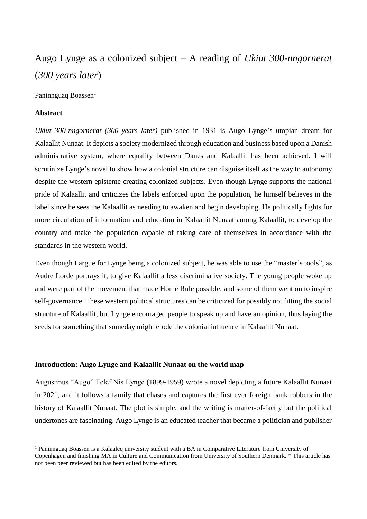# Augo Lynge as a colonized subject – A reading of *Ukiut 300-nngornerat* (*300 years later*)

Paninnguag Boassen $<sup>1</sup>$ </sup>

## **Abstract**

**.** 

*Ukiut 300-nngornerat (300 years later)* published in 1931 is Augo Lynge's utopian dream for Kalaallit Nunaat. It depicts a society modernized through education and business based upon a Danish administrative system, where equality between Danes and Kalaallit has been achieved. I will scrutinize Lynge's novel to show how a colonial structure can disguise itself as the way to autonomy despite the western episteme creating colonized subjects. Even though Lynge supports the national pride of Kalaallit and criticizes the labels enforced upon the population, he himself believes in the label since he sees the Kalaallit as needing to awaken and begin developing. He politically fights for more circulation of information and education in Kalaallit Nunaat among Kalaallit, to develop the country and make the population capable of taking care of themselves in accordance with the standards in the western world.

Even though I argue for Lynge being a colonized subject, he was able to use the "master's tools", as Audre Lorde portrays it, to give Kalaallit a less discriminative society. The young people woke up and were part of the movement that made Home Rule possible, and some of them went on to inspire self-governance. These western political structures can be criticized for possibly not fitting the social structure of Kalaallit, but Lynge encouraged people to speak up and have an opinion, thus laying the seeds for something that someday might erode the colonial influence in Kalaallit Nunaat.

#### **Introduction: Augo Lynge and Kalaallit Nunaat on the world map**

Augustinus "Augo" Telef Nis Lynge (1899-1959) wrote a novel depicting a future Kalaallit Nunaat in 2021, and it follows a family that chases and captures the first ever foreign bank robbers in the history of Kalaallit Nunaat. The plot is simple, and the writing is matter-of-factly but the political undertones are fascinating. Augo Lynge is an educated teacher that became a politician and publisher

<sup>1</sup> Paninnguaq Boassen is a Kalaaleq university student with a BA in Comparative Literature from University of Copenhagen and finishing MA in Culture and Communication from University of Southern Denmark. \* This article has not been peer reviewed but has been edited by the editors.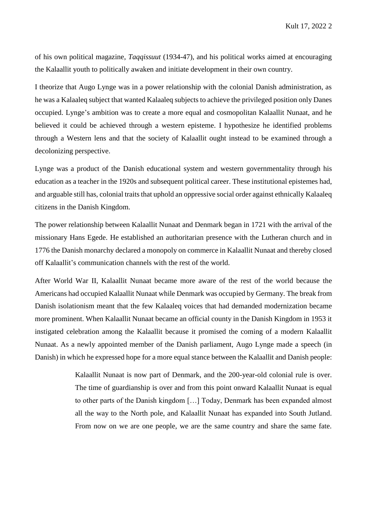of his own political magazine, *Taqqissuut* (1934-47), and his political works aimed at encouraging the Kalaallit youth to politically awaken and initiate development in their own country.

I theorize that Augo Lynge was in a power relationship with the colonial Danish administration, as he was a Kalaaleq subject that wanted Kalaaleq subjects to achieve the privileged position only Danes occupied. Lynge's ambition was to create a more equal and cosmopolitan Kalaallit Nunaat, and he believed it could be achieved through a western episteme. I hypothesize he identified problems through a Western lens and that the society of Kalaallit ought instead to be examined through a decolonizing perspective.

Lynge was a product of the Danish educational system and western governmentality through his education as a teacher in the 1920s and subsequent political career. These institutional epistemes had, and arguable still has, colonial traits that uphold an oppressive social order against ethnically Kalaaleq citizens in the Danish Kingdom.

The power relationship between Kalaallit Nunaat and Denmark began in 1721 with the arrival of the missionary Hans Egede. He established an authoritarian presence with the Lutheran church and in 1776 the Danish monarchy declared a monopoly on commerce in Kalaallit Nunaat and thereby closed off Kalaallit's communication channels with the rest of the world.

After World War II, Kalaallit Nunaat became more aware of the rest of the world because the Americans had occupied Kalaallit Nunaat while Denmark was occupied by Germany. The break from Danish isolationism meant that the few Kalaaleq voices that had demanded modernization became more prominent. When Kalaallit Nunaat became an official county in the Danish Kingdom in 1953 it instigated celebration among the Kalaallit because it promised the coming of a modern Kalaallit Nunaat. As a newly appointed member of the Danish parliament, Augo Lynge made a speech (in Danish) in which he expressed hope for a more equal stance between the Kalaallit and Danish people:

> Kalaallit Nunaat is now part of Denmark, and the 200-year-old colonial rule is over. The time of guardianship is over and from this point onward Kalaallit Nunaat is equal to other parts of the Danish kingdom […] Today, Denmark has been expanded almost all the way to the North pole, and Kalaallit Nunaat has expanded into South Jutland. From now on we are one people, we are the same country and share the same fate.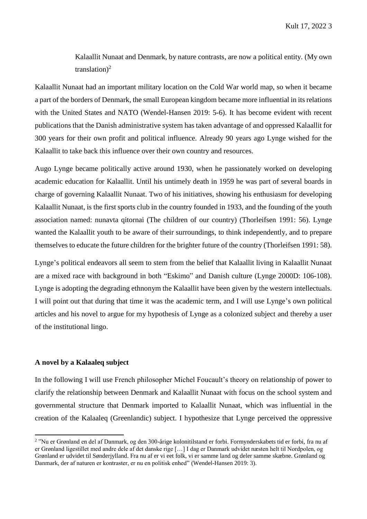Kalaallit Nunaat and Denmark, by nature contrasts, are now a political entity. (My own translation)<sup>2</sup>

Kalaallit Nunaat had an important military location on the Cold War world map, so when it became a part of the borders of Denmark, the small European kingdom became more influential in its relations with the United States and NATO (Wendel-Hansen 2019: 5-6). It has become evident with recent publications that the Danish administrative system has taken advantage of and oppressed Kalaallit for 300 years for their own profit and political influence. Already 90 years ago Lynge wished for the Kalaallit to take back this influence over their own country and resources.

Augo Lynge became politically active around 1930, when he passionately worked on developing academic education for Kalaallit. Until his untimely death in 1959 he was part of several boards in charge of governing Kalaallit Nunaat. Two of his initiatives, showing his enthusiasm for developing Kalaallit Nunaat, is the first sports club in the country founded in 1933, and the founding of the youth association named: nunavta qitornai (The children of our country) (Thorleifsen 1991: 56). Lynge wanted the Kalaallit youth to be aware of their surroundings, to think independently, and to prepare themselves to educate the future children for the brighter future of the country (Thorleifsen 1991: 58).

Lynge's political endeavors all seem to stem from the belief that Kalaallit living in Kalaallit Nunaat are a mixed race with background in both "Eskimo" and Danish culture (Lynge 2000D: 106-108). Lynge is adopting the degrading ethnonym the Kalaallit have been given by the western intellectuals. I will point out that during that time it was the academic term, and I will use Lynge's own political articles and his novel to argue for my hypothesis of Lynge as a colonized subject and thereby a user of the institutional lingo.

#### **A novel by a Kalaaleq subject**

**.** 

In the following I will use French philosopher Michel Foucault's theory on relationship of power to clarify the relationship between Denmark and Kalaallit Nunaat with focus on the school system and governmental structure that Denmark imported to Kalaallit Nunaat, which was influential in the creation of the Kalaaleq (Greenlandic) subject. I hypothesize that Lynge perceived the oppressive

<sup>&</sup>lt;sup>2</sup> "Nu er Grønland en del af Danmark, og den 300-årige kolonitilstand er forbi. Formynderskabets tid er forbi, fra nu af er Grønland ligestillet med andre dele af det danske rige […] I dag er Danmark udvidet næsten helt til Nordpolen, og Grønland er udvidet til Sønderjylland. Fra nu af er vi eet folk, vi er samme land og deler samme skæbne. Grønland og Danmark, der af naturen er kontraster, er nu en politisk enhed" (Wendel-Hansen 2019: 3).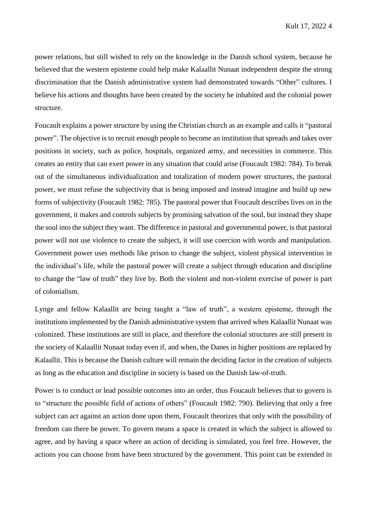power relations, but still wished to rely on the knowledge in the Danish school system, because he believed that the western episteme could help make Kalaallit Nunaat independent despite the strong discrimination that the Danish administrative system had demonstrated towards "Other" cultures. I believe his actions and thoughts have been created by the society he inhabited and the colonial power structure.

Foucault explains a power structure by using the Christian church as an example and calls it "pastoral power". The objective is to recruit enough people to become an institution that spreads and takes over positions in society, such as police, hospitals, organized army, and necessities in commerce. This creates an entity that can exert power in any situation that could arise (Foucault 1982: 784). To break out of the simultaneous individualization and totalization of modern power structures, the pastoral power, we must refuse the subjectivity that is being imposed and instead imagine and build up new forms of subjectivity (Foucault 1982: 785). The pastoral power that Foucault describes lives on in the government, it makes and controls subjects by promising salvation of the soul, but instead they shape the soul into the subject they want. The difference in pastoral and governmental power, is that pastoral power will not use violence to create the subject, it will use coercion with words and manipulation. Government power uses methods like prison to change the subject, violent physical intervention in the individual's life, while the pastoral power will create a subject through education and discipline to change the "law of truth" they live by. Both the violent and non-violent exercise of power is part of colonialism.

Lynge and fellow Kalaallit are being taught a "law of truth", a western episteme, through the institutions implemented by the Danish administrative system that arrived when Kalaallit Nunaat was colonized. These institutions are still in place, and therefore the colonial structures are still present in the society of Kalaallit Nunaat today even if, and when, the Danes in higher positions are replaced by Kalaallit. This is because the Danish culture will remain the deciding factor in the creation of subjects as long as the education and discipline in society is based on the Danish law-of-truth.

Power is to conduct or lead possible outcomes into an order, thus Foucault believes that to govern is to "structure the possible field of actions of others" (Foucault 1982: 790). Believing that only a free subject can act against an action done upon them, Foucault theorizes that only with the possibility of freedom can there be power. To govern means a space is created in which the subject is allowed to agree, and by having a space where an action of deciding is simulated, you feel free. However, the actions you can choose from have been structured by the government. This point can be extended in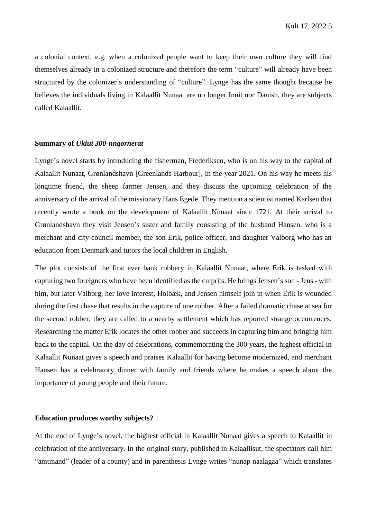a colonial context, e.g. when a colonized people want to keep their own culture they will find themselves already in a colonized structure and therefore the term "culture" will already have been structured by the colonizer's understanding of "culture". Lynge has the same thought because he believes the individuals living in Kalaallit Nunaat are no longer Inuit nor Danish, they are subjects called Kalaallit.

#### **Summary of** *Ukiut 300-nngornerat*

Lynge's novel starts by introducing the fisherman, Frederiksen, who is on his way to the capital of Kalaallit Nunaat, Grønlandshavn [Greenlands Harbour], in the year 2021. On his way he meets his longtime friend, the sheep farmer Jensen, and they discuss the upcoming celebration of the anniversary of the arrival of the missionary Hans Egede. They mention a scientist named Karlsen that recently wrote a book on the development of Kalaallit Nunaat since 1721. At their arrival to Grønlandshavn they visit Jensen's sister and family consisting of the husband Hansen, who is a merchant and city council member, the son Erik, police officer, and daughter Valborg who has an education from Denmark and tutors the local children in English.

The plot consists of the first ever bank robbery in Kalaallit Nunaat, where Erik is tasked with capturing two foreigners who have been identified as the culprits. He brings Jensen's son - Jens - with him, but later Valborg, her love interest, Holbæk, and Jensen himself join in when Erik is wounded during the first chase that results in the capture of one robber. After a failed dramatic chase at sea for the second robber, they are called to a nearby settlement which has reported strange occurrences. Researching the matter Erik locates the other robber and succeeds in capturing him and bringing him back to the capital. On the day of celebrations, commemorating the 300 years, the highest official in Kalaallit Nunaat gives a speech and praises Kalaallit for having become modernized, and merchant Hansen has a celebratory dinner with family and friends where he makes a speech about the importance of young people and their future.

#### **Education produces worthy subjects?**

At the end of Lynge's novel, the highest official in Kalaallit Nunaat gives a speech to Kalaallit in celebration of the anniversary. In the original story, published in Kalaallisut, the spectators call him "amtmand" (leader of a county) and in parenthesis Lynge writes "nunap naalagaa" which translates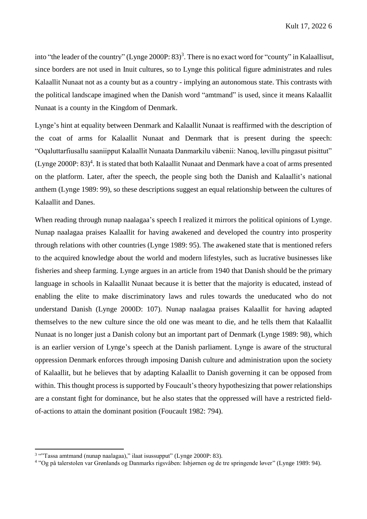into "the leader of the country" (Lynge 2000P: 83)<sup>3</sup>. There is no exact word for "county" in Kalaallisut, since borders are not used in Inuit cultures, so to Lynge this political figure administrates and rules Kalaallit Nunaat not as a county but as a country - implying an autonomous state. This contrasts with the political landscape imagined when the Danish word "amtmand" is used, since it means Kalaallit Nunaat is a county in the Kingdom of Denmark.

Lynge's hint at equality between Denmark and Kalaallit Nunaat is reaffirmed with the description of the coat of arms for Kalaallit Nunaat and Denmark that is present during the speech: "Oqaluttarfiusallu saaniipput Kalaallit Nunaata Danmarkilu våbenii: Nanoq, løvillu pingasut pisittut" (Lynge 2000P: 83)<sup>4</sup>. It is stated that both Kalaallit Nunaat and Denmark have a coat of arms presented on the platform. Later, after the speech, the people sing both the Danish and Kalaallit's national anthem (Lynge 1989: 99), so these descriptions suggest an equal relationship between the cultures of Kalaallit and Danes.

When reading through nunap naalagaa's speech I realized it mirrors the political opinions of Lynge. Nunap naalagaa praises Kalaallit for having awakened and developed the country into prosperity through relations with other countries (Lynge 1989: 95). The awakened state that is mentioned refers to the acquired knowledge about the world and modern lifestyles, such as lucrative businesses like fisheries and sheep farming. Lynge argues in an article from 1940 that Danish should be the primary language in schools in Kalaallit Nunaat because it is better that the majority is educated, instead of enabling the elite to make discriminatory laws and rules towards the uneducated who do not understand Danish (Lynge 2000D: 107). Nunap naalagaa praises Kalaallit for having adapted themselves to the new culture since the old one was meant to die, and he tells them that Kalaallit Nunaat is no longer just a Danish colony but an important part of Denmark (Lynge 1989: 98), which is an earlier version of Lynge's speech at the Danish parliament. Lynge is aware of the structural oppression Denmark enforces through imposing Danish culture and administration upon the society of Kalaallit, but he believes that by adapting Kalaallit to Danish governing it can be opposed from within. This thought process is supported by Foucault's theory hypothesizing that power relationships are a constant fight for dominance, but he also states that the oppressed will have a restricted fieldof-actions to attain the dominant position (Foucault 1982: 794).

1

<sup>&</sup>lt;sup>3</sup> "Tassa amtmand (nunap naalagaa)," ilaat isussupput" (Lynge 2000P: 83).

<sup>4</sup> "Og på talerstolen var Grønlands og Danmarks rigsvåben: Isbjørnen og de tre springende løver" (Lynge 1989: 94).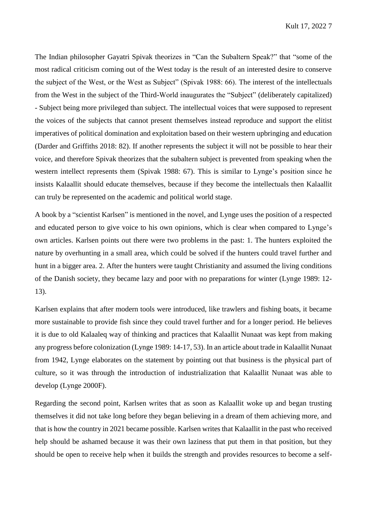The Indian philosopher Gayatri Spivak theorizes in "Can the Subaltern Speak?" that "some of the most radical criticism coming out of the West today is the result of an interested desire to conserve the subject of the West, or the West as Subject" (Spivak 1988: 66). The interest of the intellectuals from the West in the subject of the Third-World inaugurates the "Subject" (deliberately capitalized) - Subject being more privileged than subject. The intellectual voices that were supposed to represent the voices of the subjects that cannot present themselves instead reproduce and support the elitist imperatives of political domination and exploitation based on their western upbringing and education (Darder and Griffiths 2018: 82). If another represents the subject it will not be possible to hear their voice, and therefore Spivak theorizes that the subaltern subject is prevented from speaking when the western intellect represents them (Spivak 1988: 67). This is similar to Lynge's position since he insists Kalaallit should educate themselves, because if they become the intellectuals then Kalaallit can truly be represented on the academic and political world stage.

A book by a "scientist Karlsen" is mentioned in the novel, and Lynge uses the position of a respected and educated person to give voice to his own opinions, which is clear when compared to Lynge's own articles. Karlsen points out there were two problems in the past: 1. The hunters exploited the nature by overhunting in a small area, which could be solved if the hunters could travel further and hunt in a bigger area. 2. After the hunters were taught Christianity and assumed the living conditions of the Danish society, they became lazy and poor with no preparations for winter (Lynge 1989: 12- 13).

Karlsen explains that after modern tools were introduced, like trawlers and fishing boats, it became more sustainable to provide fish since they could travel further and for a longer period. He believes it is due to old Kalaaleq way of thinking and practices that Kalaallit Nunaat was kept from making any progress before colonization (Lynge 1989: 14-17, 53). In an article about trade in Kalaallit Nunaat from 1942, Lynge elaborates on the statement by pointing out that business is the physical part of culture, so it was through the introduction of industrialization that Kalaallit Nunaat was able to develop (Lynge 2000F).

Regarding the second point, Karlsen writes that as soon as Kalaallit woke up and began trusting themselves it did not take long before they began believing in a dream of them achieving more, and that is how the country in 2021 became possible. Karlsen writes that Kalaallit in the past who received help should be ashamed because it was their own laziness that put them in that position, but they should be open to receive help when it builds the strength and provides resources to become a self-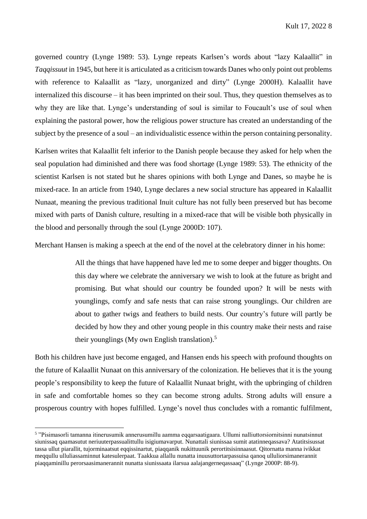governed country (Lynge 1989: 53). Lynge repeats Karlsen's words about "lazy Kalaallit" in *Taqqissuut* in 1945, but here it is articulated as a criticism towards Danes who only point out problems with reference to Kalaallit as "lazy, unorganized and dirty" (Lynge 2000H). Kalaallit have internalized this discourse – it has been imprinted on their soul. Thus, they question themselves as to why they are like that. Lynge's understanding of soul is similar to Foucault's use of soul when explaining the pastoral power, how the religious power structure has created an understanding of the subject by the presence of a soul – an individualistic essence within the person containing personality.

Karlsen writes that Kalaallit felt inferior to the Danish people because they asked for help when the seal population had diminished and there was food shortage (Lynge 1989: 53). The ethnicity of the scientist Karlsen is not stated but he shares opinions with both Lynge and Danes, so maybe he is mixed-race. In an article from 1940, Lynge declares a new social structure has appeared in Kalaallit Nunaat, meaning the previous traditional Inuit culture has not fully been preserved but has become mixed with parts of Danish culture, resulting in a mixed-race that will be visible both physically in the blood and personally through the soul (Lynge 2000D: 107).

Merchant Hansen is making a speech at the end of the novel at the celebratory dinner in his home:

All the things that have happened have led me to some deeper and bigger thoughts. On this day where we celebrate the anniversary we wish to look at the future as bright and promising. But what should our country be founded upon? It will be nests with younglings, comfy and safe nests that can raise strong younglings. Our children are about to gather twigs and feathers to build nests. Our country's future will partly be decided by how they and other young people in this country make their nests and raise their younglings (My own English translation). 5

Both his children have just become engaged, and Hansen ends his speech with profound thoughts on the future of Kalaallit Nunaat on this anniversary of the colonization. He believes that it is the young people's responsibility to keep the future of Kalaallit Nunaat bright, with the upbringing of children in safe and comfortable homes so they can become strong adults. Strong adults will ensure a prosperous country with hopes fulfilled. Lynge's novel thus concludes with a romantic fulfilment,

1

<sup>5</sup> "Pisimasorli tamanna itinerusumik annerusumillu aamma eqqarsaatigaara. Ullumi nalliuttorsiornitsinni nunatsinnut siunissaq qaamasutut neriuuterpassualittullu isigiumavarput. Nunattali siunissaa sumit atatinneqassava? Atatitsisussat tassa ullut piarallit, tujorminaatsut eqqissinartut, piaqqanik nukittuunik perortitsisinnaasut. Qitornatta manna ivikkat meqqullu ulluliassaminnut katesulerpaat. Taakkua allallu nunatta inuusuttortarpassuisa qanoq ulluliorsimanerannit piaqqaminillu perorsaasimanerannit nunatta siunissaata ilarsua aalajangerneqassaaq" (Lynge 2000P: 88-9).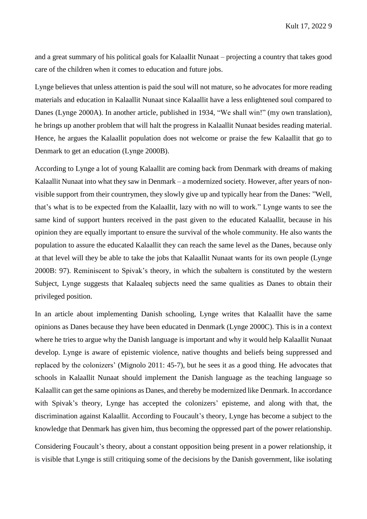and a great summary of his political goals for Kalaallit Nunaat – projecting a country that takes good care of the children when it comes to education and future jobs.

Lynge believes that unless attention is paid the soul will not mature, so he advocates for more reading materials and education in Kalaallit Nunaat since Kalaallit have a less enlightened soul compared to Danes (Lynge 2000A). In another article, published in 1934, "We shall win!" (my own translation), he brings up another problem that will halt the progress in Kalaallit Nunaat besides reading material. Hence, he argues the Kalaallit population does not welcome or praise the few Kalaallit that go to Denmark to get an education (Lynge 2000B).

According to Lynge a lot of young Kalaallit are coming back from Denmark with dreams of making Kalaallit Nunaat into what they saw in Denmark – a modernized society. However, after years of nonvisible support from their countrymen, they slowly give up and typically hear from the Danes: "Well, that's what is to be expected from the Kalaallit, lazy with no will to work." Lynge wants to see the same kind of support hunters received in the past given to the educated Kalaallit, because in his opinion they are equally important to ensure the survival of the whole community. He also wants the population to assure the educated Kalaallit they can reach the same level as the Danes, because only at that level will they be able to take the jobs that Kalaallit Nunaat wants for its own people (Lynge 2000B: 97). Reminiscent to Spivak's theory, in which the subaltern is constituted by the western Subject, Lynge suggests that Kalaaleq subjects need the same qualities as Danes to obtain their privileged position.

In an article about implementing Danish schooling, Lynge writes that Kalaallit have the same opinions as Danes because they have been educated in Denmark (Lynge 2000C). This is in a context where he tries to argue why the Danish language is important and why it would help Kalaallit Nunaat develop. Lynge is aware of epistemic violence, native thoughts and beliefs being suppressed and replaced by the colonizers' (Mignolo 2011: 45-7), but he sees it as a good thing. He advocates that schools in Kalaallit Nunaat should implement the Danish language as the teaching language so Kalaallit can get the same opinions as Danes, and thereby be modernized like Denmark. In accordance with Spivak's theory, Lynge has accepted the colonizers' episteme, and along with that, the discrimination against Kalaallit. According to Foucault's theory, Lynge has become a subject to the knowledge that Denmark has given him, thus becoming the oppressed part of the power relationship.

Considering Foucault's theory, about a constant opposition being present in a power relationship, it is visible that Lynge is still critiquing some of the decisions by the Danish government, like isolating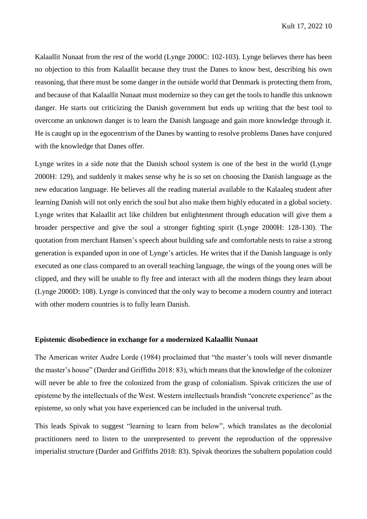Kalaallit Nunaat from the rest of the world (Lynge 2000C: 102-103). Lynge believes there has been no objection to this from Kalaallit because they trust the Danes to know best, describing his own reasoning, that there must be some danger in the outside world that Denmark is protecting them from, and because of that Kalaallit Nunaat must modernize so they can get the tools to handle this unknown danger. He starts out criticizing the Danish government but ends up writing that the best tool to overcome an unknown danger is to learn the Danish language and gain more knowledge through it. He is caught up in the egocentrism of the Danes by wanting to resolve problems Danes have conjured with the knowledge that Danes offer.

Lynge writes in a side note that the Danish school system is one of the best in the world (Lynge 2000H: 129), and suddenly it makes sense why he is so set on choosing the Danish language as the new education language. He believes all the reading material available to the Kalaaleq student after learning Danish will not only enrich the soul but also make them highly educated in a global society. Lynge writes that Kalaallit act like children but enlightenment through education will give them a broader perspective and give the soul a stronger fighting spirit (Lynge 2000H: 128-130). The quotation from merchant Hansen's speech about building safe and comfortable nests to raise a strong generation is expanded upon in one of Lynge's articles. He writes that if the Danish language is only executed as one class compared to an overall teaching language, the wings of the young ones will be clipped, and they will be unable to fly free and interact with all the modern things they learn about (Lynge 2000D: 108). Lynge is convinced that the only way to become a modern country and interact with other modern countries is to fully learn Danish.

#### **Epistemic disobedience in exchange for a modernized Kalaallit Nunaat**

The American writer Audre Lorde (1984) proclaimed that "the master's tools will never dismantle the master's house" (Darder and Griffiths 2018: 83), which means that the knowledge of the colonizer will never be able to free the colonized from the grasp of colonialism. Spivak criticizes the use of episteme by the intellectuals of the West. Western intellectuals brandish "concrete experience" as the episteme, so only what you have experienced can be included in the universal truth.

This leads Spivak to suggest "learning to learn from below", which translates as the decolonial practitioners need to listen to the unrepresented to prevent the reproduction of the oppressive imperialist structure (Darder and Griffiths 2018: 83). Spivak theorizes the subaltern population could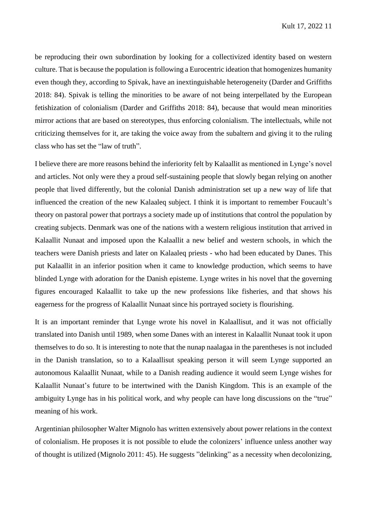be reproducing their own subordination by looking for a collectivized identity based on western culture. That is because the population is following a Eurocentric ideation that homogenizes humanity even though they, according to Spivak, have an inextinguishable heterogeneity (Darder and Griffiths 2018: 84). Spivak is telling the minorities to be aware of not being interpellated by the European fetishization of colonialism (Darder and Griffiths 2018: 84), because that would mean minorities mirror actions that are based on stereotypes, thus enforcing colonialism. The intellectuals, while not criticizing themselves for it, are taking the voice away from the subaltern and giving it to the ruling class who has set the "law of truth".

I believe there are more reasons behind the inferiority felt by Kalaallit as mentioned in Lynge's novel and articles. Not only were they a proud self-sustaining people that slowly began relying on another people that lived differently, but the colonial Danish administration set up a new way of life that influenced the creation of the new Kalaaleq subject. I think it is important to remember Foucault's theory on pastoral power that portrays a society made up of institutions that control the population by creating subjects. Denmark was one of the nations with a western religious institution that arrived in Kalaallit Nunaat and imposed upon the Kalaallit a new belief and western schools, in which the teachers were Danish priests and later on Kalaaleq priests - who had been educated by Danes. This put Kalaallit in an inferior position when it came to knowledge production, which seems to have blinded Lynge with adoration for the Danish episteme. Lynge writes in his novel that the governing figures encouraged Kalaallit to take up the new professions like fisheries, and that shows his eagerness for the progress of Kalaallit Nunaat since his portrayed society is flourishing.

It is an important reminder that Lynge wrote his novel in Kalaallisut, and it was not officially translated into Danish until 1989, when some Danes with an interest in Kalaallit Nunaat took it upon themselves to do so. It is interesting to note that the nunap naalagaa in the parentheses is not included in the Danish translation, so to a Kalaallisut speaking person it will seem Lynge supported an autonomous Kalaallit Nunaat, while to a Danish reading audience it would seem Lynge wishes for Kalaallit Nunaat's future to be intertwined with the Danish Kingdom. This is an example of the ambiguity Lynge has in his political work, and why people can have long discussions on the "true" meaning of his work.

Argentinian philosopher Walter Mignolo has written extensively about power relations in the context of colonialism. He proposes it is not possible to elude the colonizers' influence unless another way of thought is utilized (Mignolo 2011: 45). He suggests "delinking" as a necessity when decolonizing,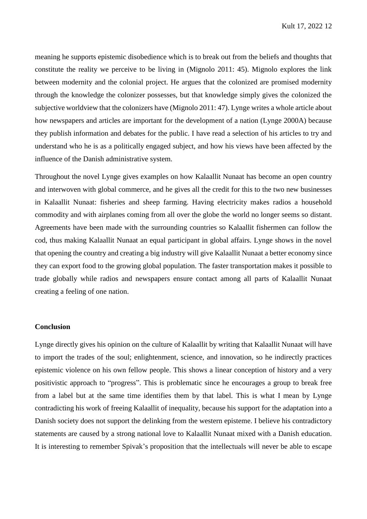meaning he supports epistemic disobedience which is to break out from the beliefs and thoughts that constitute the reality we perceive to be living in (Mignolo 2011: 45). Mignolo explores the link between modernity and the colonial project. He argues that the colonized are promised modernity through the knowledge the colonizer possesses, but that knowledge simply gives the colonized the subjective worldview that the colonizers have (Mignolo 2011: 47). Lynge writes a whole article about how newspapers and articles are important for the development of a nation (Lynge 2000A) because they publish information and debates for the public. I have read a selection of his articles to try and understand who he is as a politically engaged subject, and how his views have been affected by the influence of the Danish administrative system.

Throughout the novel Lynge gives examples on how Kalaallit Nunaat has become an open country and interwoven with global commerce, and he gives all the credit for this to the two new businesses in Kalaallit Nunaat: fisheries and sheep farming. Having electricity makes radios a household commodity and with airplanes coming from all over the globe the world no longer seems so distant. Agreements have been made with the surrounding countries so Kalaallit fishermen can follow the cod, thus making Kalaallit Nunaat an equal participant in global affairs. Lynge shows in the novel that opening the country and creating a big industry will give Kalaallit Nunaat a better economy since they can export food to the growing global population. The faster transportation makes it possible to trade globally while radios and newspapers ensure contact among all parts of Kalaallit Nunaat creating a feeling of one nation.

## **Conclusion**

Lynge directly gives his opinion on the culture of Kalaallit by writing that Kalaallit Nunaat will have to import the trades of the soul; enlightenment, science, and innovation, so he indirectly practices epistemic violence on his own fellow people. This shows a linear conception of history and a very positivistic approach to "progress". This is problematic since he encourages a group to break free from a label but at the same time identifies them by that label. This is what I mean by Lynge contradicting his work of freeing Kalaallit of inequality, because his support for the adaptation into a Danish society does not support the delinking from the western episteme. I believe his contradictory statements are caused by a strong national love to Kalaallit Nunaat mixed with a Danish education. It is interesting to remember Spivak's proposition that the intellectuals will never be able to escape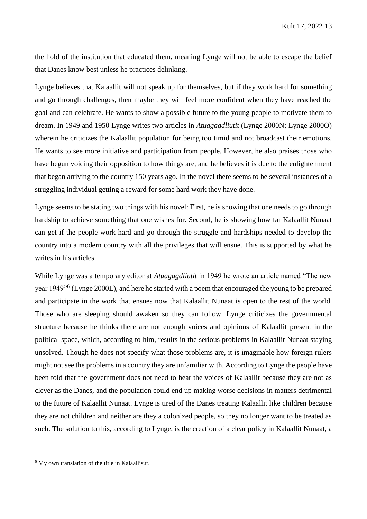the hold of the institution that educated them, meaning Lynge will not be able to escape the belief that Danes know best unless he practices delinking.

Lynge believes that Kalaallit will not speak up for themselves, but if they work hard for something and go through challenges, then maybe they will feel more confident when they have reached the goal and can celebrate. He wants to show a possible future to the young people to motivate them to dream. In 1949 and 1950 Lynge writes two articles in *Atuagagdliutit* (Lynge 2000N; Lynge 2000O) wherein he criticizes the Kalaallit population for being too timid and not broadcast their emotions. He wants to see more initiative and participation from people. However, he also praises those who have begun voicing their opposition to how things are, and he believes it is due to the enlightenment that began arriving to the country 150 years ago. In the novel there seems to be several instances of a struggling individual getting a reward for some hard work they have done.

Lynge seems to be stating two things with his novel: First, he is showing that one needs to go through hardship to achieve something that one wishes for. Second, he is showing how far Kalaallit Nunaat can get if the people work hard and go through the struggle and hardships needed to develop the country into a modern country with all the privileges that will ensue. This is supported by what he writes in his articles.

While Lynge was a temporary editor at *Atuagagdliutit* in 1949 he wrote an article named "The new year 1949"<sup>6</sup> (Lynge 2000L), and here he started with a poem that encouraged the young to be prepared and participate in the work that ensues now that Kalaallit Nunaat is open to the rest of the world. Those who are sleeping should awaken so they can follow. Lynge criticizes the governmental structure because he thinks there are not enough voices and opinions of Kalaallit present in the political space, which, according to him, results in the serious problems in Kalaallit Nunaat staying unsolved. Though he does not specify what those problems are, it is imaginable how foreign rulers might not see the problems in a country they are unfamiliar with. According to Lynge the people have been told that the government does not need to hear the voices of Kalaallit because they are not as clever as the Danes, and the population could end up making worse decisions in matters detrimental to the future of Kalaallit Nunaat. Lynge is tired of the Danes treating Kalaallit like children because they are not children and neither are they a colonized people, so they no longer want to be treated as such. The solution to this, according to Lynge, is the creation of a clear policy in Kalaallit Nunaat, a

**.** 

<sup>&</sup>lt;sup>6</sup> My own translation of the title in Kalaallisut.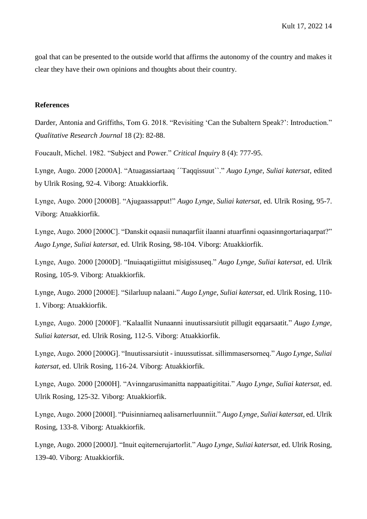goal that can be presented to the outside world that affirms the autonomy of the country and makes it clear they have their own opinions and thoughts about their country.

### **References**

Darder, Antonia and Griffiths, Tom G. 2018. "Revisiting 'Can the Subaltern Speak?': Introduction." *Qualitative Research Journal* 18 (2): 82-88.

Foucault, Michel. 1982. "Subject and Power." *Critical Inquiry* 8 (4): 777-95.

Lynge, Augo. 2000 [2000A]. "Atuagassiartaaq ´´Taqqissuut``." *Augo Lynge, Suliai katersat*, edited by Ulrik Rosing, 92-4. Viborg: Atuakkiorfik.

Lynge, Augo. 2000 [2000B]. "Ajugaassapput!" *Augo Lynge, Suliai katersat*, ed. Ulrik Rosing, 95-7. Viborg: Atuakkiorfik.

Lynge, Augo. 2000 [2000C]. "Danskit oqaasii nunaqarfiit ilaanni atuarfinni oqaasinngortariaqarpat?" *Augo Lynge, Suliai katersat*, ed. Ulrik Rosing, 98-104. Viborg: Atuakkiorfik.

Lynge, Augo. 2000 [2000D]. "Inuiaqatigiittut misigissuseq." *Augo Lynge, Suliai katersat*, ed. Ulrik Rosing, 105-9. Viborg: Atuakkiorfik.

Lynge, Augo. 2000 [2000E]. "Silarluup nalaani." *Augo Lynge, Suliai katersat*, ed. Ulrik Rosing, 110- 1. Viborg: Atuakkiorfik.

Lynge, Augo. 2000 [2000F]. "Kalaallit Nunaanni inuutissarsiutit pillugit eqqarsaatit." *Augo Lynge, Suliai katersat*, ed. Ulrik Rosing, 112-5. Viborg: Atuakkiorfik.

Lynge, Augo. 2000 [2000G]. "Inuutissarsiutit - inuussutissat. sillimmasersorneq." *Augo Lynge, Suliai katersat*, ed. Ulrik Rosing, 116-24. Viborg: Atuakkiorfik.

Lynge, Augo. 2000 [2000H]. "Avinngarusimanitta nappaatigititai." *Augo Lynge, Suliai katersat*, ed. Ulrik Rosing, 125-32. Viborg: Atuakkiorfik.

Lynge, Augo. 2000 [2000I]. "Puisinniarneq aalisarnerluunniit." *Augo Lynge, Suliai katersat*, ed. Ulrik Rosing, 133-8. Viborg: Atuakkiorfik.

Lynge, Augo. 2000 [2000J]. "Inuit eqiternerujartorlit." *Augo Lynge, Suliai katersat*, ed. Ulrik Rosing, 139-40. Viborg: Atuakkiorfik.